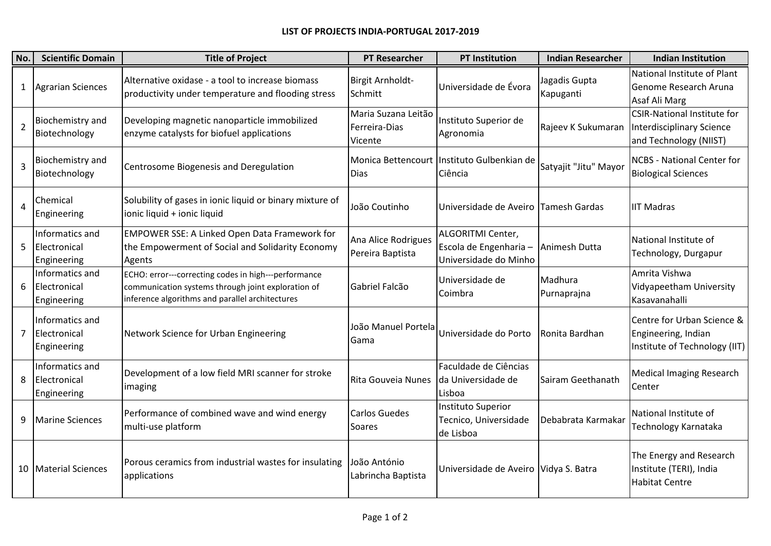## **LIST OF PROJECTS INDIA-PORTUGAL 2017-2019**

| No.            | <b>Scientific Domain</b>                       | <b>Title of Project</b>                                                                                                                                       | <b>PT Researcher</b>                            | <b>PT Institution</b>                                                       | <b>Indian Researcher</b>   | <b>Indian Institution</b>                                                                 |
|----------------|------------------------------------------------|---------------------------------------------------------------------------------------------------------------------------------------------------------------|-------------------------------------------------|-----------------------------------------------------------------------------|----------------------------|-------------------------------------------------------------------------------------------|
| $\mathbf{1}$   | <b>Agrarian Sciences</b>                       | Alternative oxidase - a tool to increase biomass<br>productivity under temperature and flooding stress                                                        | Birgit Arnholdt-<br>Schmitt                     | Universidade de Évora                                                       | Jagadis Gupta<br>Kapuganti | National Institute of Plant<br>Genome Research Aruna<br>Asaf Ali Marg                     |
| $\overline{2}$ | Biochemistry and<br>Biotechnology              | Developing magnetic nanoparticle immobilized<br>enzyme catalysts for biofuel applications                                                                     | Maria Suzana Leitão<br>Ferreira-Dias<br>Vicente | Instituto Superior de<br>Agronomia                                          | Rajeev K Sukumaran         | <b>CSIR-National Institute for</b><br>Interdisciplinary Science<br>and Technology (NIIST) |
| 3              | Biochemistry and<br>Biotechnology              | Centrosome Biogenesis and Deregulation                                                                                                                        | <b>Dias</b>                                     | Monica Bettencourt Instituto Gulbenkian de<br>Ciência                       | Satyajit "Jitu" Mayor      | <b>NCBS</b> - National Center for<br><b>Biological Sciences</b>                           |
| 4              | Chemical<br>Engineering                        | Solubility of gases in ionic liquid or binary mixture of<br>ionic liquid + ionic liquid                                                                       | João Coutinho                                   | Universidade de Aveiro Tamesh Gardas                                        |                            | <b>IIT Madras</b>                                                                         |
| 5              | Informatics and<br>Electronical<br>Engineering | <b>EMPOWER SSE: A Linked Open Data Framework for</b><br>the Empowerment of Social and Solidarity Economy<br>Agents                                            | Ana Alice Rodrigues<br>Pereira Baptista         | <b>ALGORITMI Center,</b><br>Escola de Engenharia -<br>Universidade do Minho | Animesh Dutta              | National Institute of<br>Technology, Durgapur                                             |
| 6              | Informatics and<br>Electronical<br>Engineering | ECHO: error---correcting codes in high---performance<br>communication systems through joint exploration of<br>inference algorithms and parallel architectures | Gabriel Falcão                                  | Universidade de<br>Coimbra                                                  | Madhura<br>Purnaprajna     | Amrita Vishwa<br>Vidyapeetham University<br>Kasavanahalli                                 |
| 7              | Informatics and<br>Electronical<br>Engineering | Network Science for Urban Engineering                                                                                                                         | João Manuel Portela<br>Gama                     | Universidade do Porto                                                       | Ronita Bardhan             | Centre for Urban Science &<br>Engineering, Indian<br>Institute of Technology (IIT)        |
| 8              | Informatics and<br>Electronical<br>Engineering | Development of a low field MRI scanner for stroke<br>imaging                                                                                                  | Rita Gouveia Nunes Ida Universidade de          | Faculdade de Ciências<br>Lisboa                                             | Sairam Geethanath          | <b>Medical Imaging Research</b><br>Center                                                 |
| 9              | <b>Marine Sciences</b>                         | Performance of combined wave and wind energy<br>multi-use platform                                                                                            | <b>Carlos Guedes</b><br>Soares                  | <b>Instituto Superior</b><br>Tecnico, Universidade<br>de Lisboa             | Debabrata Karmakar         | National Institute of<br>Technology Karnataka                                             |
|                | 10   Material Sciences                         | Porous ceramics from industrial wastes for insulating<br>applications                                                                                         | João António<br>Labrincha Baptista              | Universidade de Aveiro Vidya S. Batra                                       |                            | The Energy and Research<br>Institute (TERI), India<br><b>Habitat Centre</b>               |